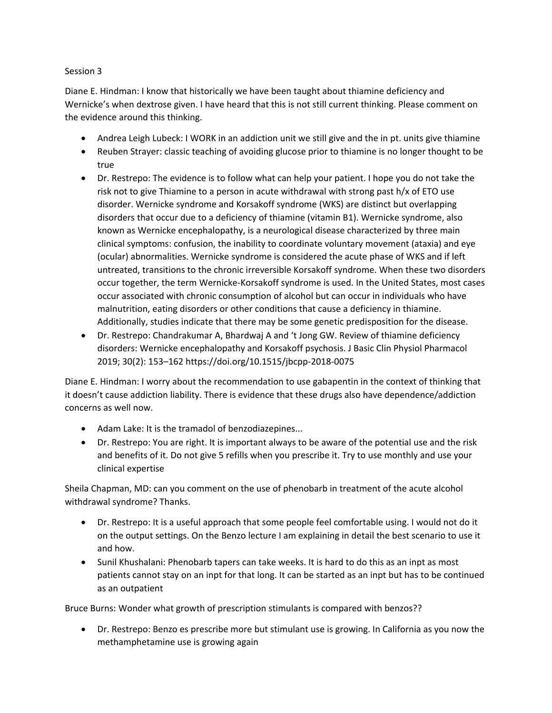## Session 3

Diane E. Hindman: I know that historically we have been taught about thiamine deficiency and Wernicke's when dextrose given. I have heard that this is not still current thinking. Please comment on the evidence around this thinking.

- Andrea Leigh Lubeck: I WORK in an addiction unit we still give and the in pt. units give thiamine
- Reuben Strayer: classic teaching of avoiding glucose prior to thiamine is no longer thought to be true
- Dr. Restrepo: The evidence is to follow what can help your patient. I hope you do not take the risk not to give Thiamine to a person in acute withdrawal with strong past h/x of ETO use disorder. Wernicke syndrome and Korsakoff syndrome (WKS) are distinct but overlapping disorders that occur due to a deficiency of thiamine (vitamin B1). Wernicke syndrome, also known as Wernicke encephalopathy, is a neurological disease characterized by three main clinical symptoms: confusion, the inability to coordinate voluntary movement (ataxia) and eye (ocular) abnormalities. Wernicke syndrome is considered the acute phase of WKS and if left untreated, transitions to the chronic irreversible Korsakoff syndrome. When these two disorders occur together, the term Wernicke-Korsakoff syndrome is used. In the United States, most cases occur associated with chronic consumption of alcohol but can occur in individuals who have malnutrition, eating disorders or other conditions that cause a deficiency in thiamine. Additionally, studies indicate that there may be some genetic predisposition for the disease.
- Dr. Restrepo: Chandrakumar A, Bhardwaj A and 't Jong GW. Review of thiamine deficiency disorders: Wernicke encephalopathy and Korsakoff psychosis. J Basic Clin Physiol Pharmacol 2019; 30(2): 153–162 https://doi.org/10.1515/jbcpp-2018-0075

Diane E. Hindman: I worry about the recommendation to use gabapentin in the context of thinking that it doesn't cause addiction liability. There is evidence that these drugs also have dependence/addiction concerns as well now.

- Adam Lake: It is the tramadol of benzodiazepines...
- Dr. Restrepo: You are right. It is important always to be aware of the potential use and the risk and benefits of it. Do not give 5 refills when you prescribe it. Try to use monthly and use your clinical expertise

Sheila Chapman, MD: can you comment on the use of phenobarb in treatment of the acute alcohol withdrawal syndrome? Thanks.

- Dr. Restrepo: It is a useful approach that some people feel comfortable using. I would not do it on the output settings. On the Benzo lecture I am explaining in detail the best scenario to use it and how.
- Sunil Khushalani: Phenobarb tapers can take weeks. It is hard to do this as an inpt as most patients cannot stay on an inpt for that long. It can be started as an inpt but has to be continued as an outpatient

Bruce Burns: Wonder what growth of prescription stimulants is compared with benzos??

• Dr. Restrepo: Benzo es prescribe more but stimulant use is growing. In California as you now the methamphetamine use is growing again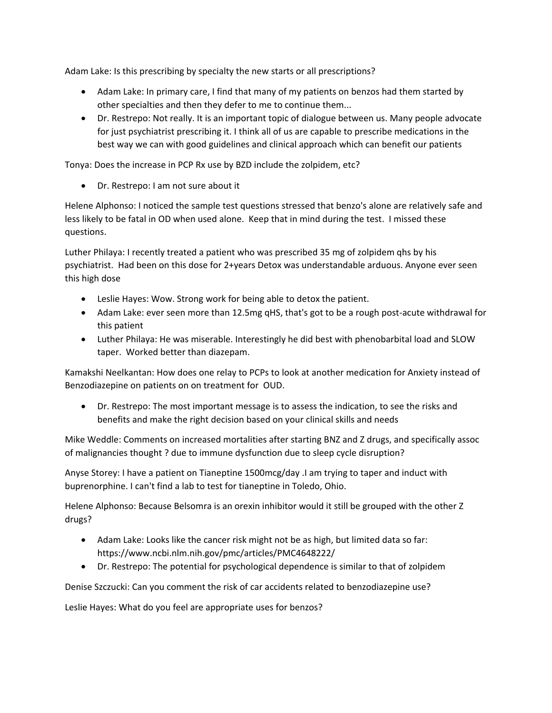Adam Lake: Is this prescribing by specialty the new starts or all prescriptions?

- Adam Lake: In primary care, I find that many of my patients on benzos had them started by other specialties and then they defer to me to continue them...
- Dr. Restrepo: Not really. It is an important topic of dialogue between us. Many people advocate for just psychiatrist prescribing it. I think all of us are capable to prescribe medications in the best way we can with good guidelines and clinical approach which can benefit our patients

Tonya: Does the increase in PCP Rx use by BZD include the zolpidem, etc?

• Dr. Restrepo: I am not sure about it

Helene Alphonso: I noticed the sample test questions stressed that benzo's alone are relatively safe and less likely to be fatal in OD when used alone. Keep that in mind during the test. I missed these questions.

Luther Philaya: I recently treated a patient who was prescribed 35 mg of zolpidem qhs by his psychiatrist. Had been on this dose for 2+years Detox was understandable arduous. Anyone ever seen this high dose

- Leslie Hayes: Wow. Strong work for being able to detox the patient.
- Adam Lake: ever seen more than 12.5mg qHS, that's got to be a rough post-acute withdrawal for this patient
- Luther Philaya: He was miserable. Interestingly he did best with phenobarbital load and SLOW taper. Worked better than diazepam.

Kamakshi Neelkantan: How does one relay to PCPs to look at another medication for Anxiety instead of Benzodiazepine on patients on on treatment for OUD.

• Dr. Restrepo: The most important message is to assess the indication, to see the risks and benefits and make the right decision based on your clinical skills and needs

Mike Weddle: Comments on increased mortalities after starting BNZ and Z drugs, and specifically assoc of malignancies thought ? due to immune dysfunction due to sleep cycle disruption?

Anyse Storey: I have a patient on Tianeptine 1500mcg/day .I am trying to taper and induct with buprenorphine. I can't find a lab to test for tianeptine in Toledo, Ohio.

Helene Alphonso: Because Belsomra is an orexin inhibitor would it still be grouped with the other Z drugs?

- Adam Lake: Looks like the cancer risk might not be as high, but limited data so far: https://www.ncbi.nlm.nih.gov/pmc/articles/PMC4648222/
- Dr. Restrepo: The potential for psychological dependence is similar to that of zolpidem

Denise Szczucki: Can you comment the risk of car accidents related to benzodiazepine use?

Leslie Hayes: What do you feel are appropriate uses for benzos?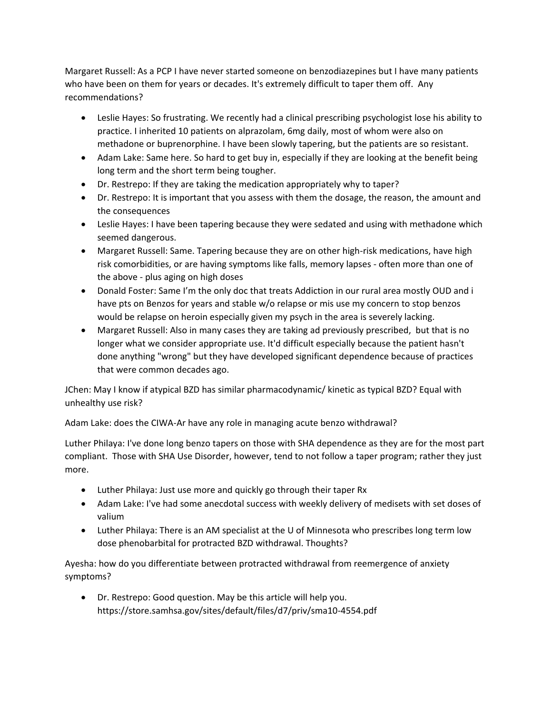Margaret Russell: As a PCP I have never started someone on benzodiazepines but I have many patients who have been on them for years or decades. It's extremely difficult to taper them off. Any recommendations?

- Leslie Hayes: So frustrating. We recently had a clinical prescribing psychologist lose his ability to practice. I inherited 10 patients on alprazolam, 6mg daily, most of whom were also on methadone or buprenorphine. I have been slowly tapering, but the patients are so resistant.
- Adam Lake: Same here. So hard to get buy in, especially if they are looking at the benefit being long term and the short term being tougher.
- Dr. Restrepo: If they are taking the medication appropriately why to taper?
- Dr. Restrepo: It is important that you assess with them the dosage, the reason, the amount and the consequences
- Leslie Hayes: I have been tapering because they were sedated and using with methadone which seemed dangerous.
- Margaret Russell: Same. Tapering because they are on other high-risk medications, have high risk comorbidities, or are having symptoms like falls, memory lapses - often more than one of the above - plus aging on high doses
- Donald Foster: Same I'm the only doc that treats Addiction in our rural area mostly OUD and i have pts on Benzos for years and stable w/o relapse or mis use my concern to stop benzos would be relapse on heroin especially given my psych in the area is severely lacking.
- Margaret Russell: Also in many cases they are taking ad previously prescribed, but that is no longer what we consider appropriate use. It'd difficult especially because the patient hasn't done anything "wrong" but they have developed significant dependence because of practices that were common decades ago.

JChen: May I know if atypical BZD has similar pharmacodynamic/ kinetic as typical BZD? Equal with unhealthy use risk?

Adam Lake: does the CIWA-Ar have any role in managing acute benzo withdrawal?

Luther Philaya: I've done long benzo tapers on those with SHA dependence as they are for the most part compliant. Those with SHA Use Disorder, however, tend to not follow a taper program; rather they just more.

- Luther Philaya: Just use more and quickly go through their taper Rx
- Adam Lake: I've had some anecdotal success with weekly delivery of medisets with set doses of valium
- Luther Philaya: There is an AM specialist at the U of Minnesota who prescribes long term low dose phenobarbital for protracted BZD withdrawal. Thoughts?

Ayesha: how do you differentiate between protracted withdrawal from reemergence of anxiety symptoms?

• Dr. Restrepo: Good question. May be this article will help you. https://store.samhsa.gov/sites/default/files/d7/priv/sma10-4554.pdf